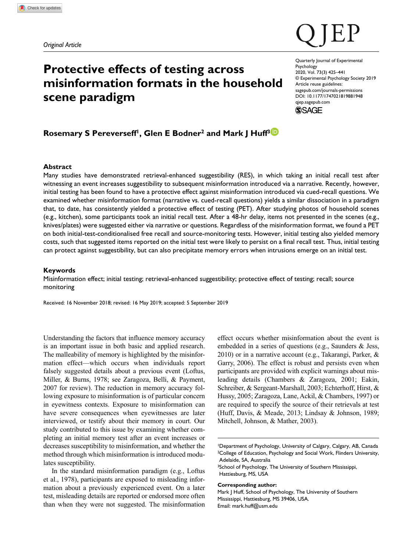*Original Article*

# **Protective effects of testing across misinformation formats in the household scene paradigm**

DOI: 10.1177/1747021819881948 Quarterly Journal of Experimental Psychology 2020, Vol. 73(3) 425–441 © Experimental Psychology Society 2019 Article reuse guidelines: [sagepub.com/journals-permissions](https://uk.sagepub.com/en-gb/journals-permissions) [qjep.sagepub.com](http://qjep.sagepub.com)



# **Rosemary S Pereverseff<sup>1</sup>, Glen E Bodner<sup>2</sup> and Mark J Huff<sup>3</sup><sup>10</sup>**

# **Abstract**

Many studies have demonstrated retrieval-enhanced suggestibility (RES), in which taking an initial recall test after witnessing an event increases suggestibility to subsequent misinformation introduced via a narrative. Recently, however, initial testing has been found to have a protective effect against misinformation introduced via cued-recall questions. We examined whether misinformation format (narrative vs. cued-recall questions) yields a similar dissociation in a paradigm that, to date, has consistently yielded a protective effect of testing (PET). After studying photos of household scenes (e.g., kitchen), some participants took an initial recall test. After a 48-hr delay, items not presented in the scenes (e.g., knives/plates) were suggested either via narrative or questions. Regardless of the misinformation format, we found a PET on both initial-test-conditionalised free recall and source-monitoring tests. However, initial testing also yielded memory costs, such that suggested items reported on the initial test were likely to persist on a final recall test. Thus, initial testing can protect against suggestibility, but can also precipitate memory errors when intrusions emerge on an initial test.

# **Keywords**

Misinformation effect; initial testing; retrieval-enhanced suggestibility; protective effect of testing; recall; source monitoring

Received: 16 November 2018; revised: 16 May 2019; accepted: 5 September 2019

Understanding the factors that influence memory accuracy is an important issue in both basic and applied research. The malleability of memory is highlighted by the misinformation effect—which occurs when individuals report falsely suggested details about a previous event (Loftus, Miller, & Burns, 1978; see Zaragoza, Belli, & Payment, 2007 for review). The reduction in memory accuracy following exposure to misinformation is of particular concern in eyewitness contexts. Exposure to misinformation can have severe consequences when eyewitnesses are later interviewed, or testify about their memory in court. Our study contributed to this issue by examining whether completing an initial memory test after an event increases or decreases susceptibility to misinformation, and whether the method through which misinformation is introduced modulates susceptibility.

In the standard misinformation paradigm (e.g., Loftus et al., 1978), participants are exposed to misleading information about a previously experienced event. On a later test, misleading details are reported or endorsed more often than when they were not suggested. The misinformation effect occurs whether misinformation about the event is embedded in a series of questions (e.g., Saunders & Jess, 2010) or in a narrative account (e.g., Takarangi, Parker, & Garry, 2006). The effect is robust and persists even when participants are provided with explicit warnings about misleading details (Chambers & Zaragoza, 2001; Eakin, Schreiber, & Sergeant-Marshall, 2003; Echterhoff, Hirst, & Hussy, 2005; Zaragoza, Lane, Ackil, & Chambers, 1997) or are required to specify the source of their retrievals at test (Huff, Davis, & Meade, 2013; Lindsay & Johnson, 1989; Mitchell, Johnson, & Mather, 2003).

1Department of Psychology, University of Calgary, Calgary, AB, Canada 2College of Education, Psychology and Social Work, Flinders University, Adelaide, SA, Australia

#### **Corresponding author:**

Mark J Huff, School of Psychology, The University of Southern Mississippi, Hattiesburg, MS 39406, USA. Email: [mark.huff@usm.edu](mailto:mark.huff@usm.edu)

<sup>&</sup>lt;sup>3</sup>School of Psychology, The University of Southern Mississippi, Hattiesburg, MS, USA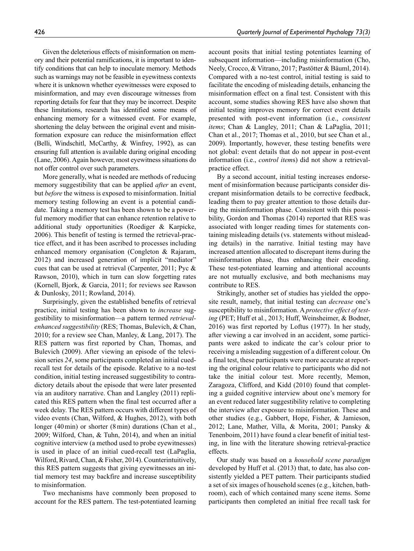Given the deleterious effects of misinformation on memory and their potential ramifications, it is important to identify conditions that can help to inoculate memory. Methods such as warnings may not be feasible in eyewitness contexts where it is unknown whether eyewitnesses were exposed to misinformation, and may even discourage witnesses from reporting details for fear that they may be incorrect. Despite these limitations, research has identified some means of enhancing memory for a witnessed event. For example, shortening the delay between the original event and misinformation exposure can reduce the misinformation effect (Belli, Windschitl, McCarthy, & Winfrey, 1992), as can ensuring full attention is available during original encoding (Lane, 2006). Again however, most eyewitness situations do not offer control over such parameters.

More generally, what is needed are methods of reducing memory suggestibility that can be applied *after* an event, but *before* the witness is exposed to misinformation. Initial memory testing following an event is a potential candidate. Taking a memory test has been shown to be a powerful memory modifier that can enhance retention relative to additional study opportunities (Roediger & Karpicke, 2006). This benefit of testing is termed the retrieval-practice effect, and it has been ascribed to processes including enhanced memory organisation (Congleton & Rajaram, 2012) and increased generation of implicit "mediator" cues that can be used at retrieval (Carpenter, 2011; Pyc & Rawson, 2010), which in turn can slow forgetting rates (Kornell, Bjork, & Garcia, 2011; for reviews see Rawson & Dunlosky, 2011; Rowland, 2014).

Surprisingly, given the established benefits of retrieval practice, initial testing has been shown to *increase* suggestibility to misinformation—a pattern termed *retrievalenhanced suggestibility* (RES; Thomas, Bulevich, & Chan, 2010; for a review see Chan, Manley, & Lang, 2017). The RES pattern was first reported by Chan, Thomas, and Bulevich (2009). After viewing an episode of the television series *24*, some participants completed an initial cuedrecall test for details of the episode. Relative to a no-test condition, initial testing increased suggestibility to contradictory details about the episode that were later presented via an auditory narrative. Chan and Langley (2011) replicated this RES pattern when the final test occurred after a week delay. The RES pattern occurs with different types of video events (Chan, Wilford, & Hughes, 2012), with both longer (40min) or shorter (8min) durations (Chan et al., 2009; Wilford, Chan, & Tuhn, 2014), and when an initial cognitive interview (a method used to probe eyewitnesses) is used in place of an initial cued-recall test (LaPaglia, Wilford, Rivard, Chan, & Fisher, 2014). Counterintuitively, this RES pattern suggests that giving eyewitnesses an initial memory test may backfire and increase susceptibility to misinformation.

Two mechanisms have commonly been proposed to account for the RES pattern. The test-potentiated learning account posits that initial testing potentiates learning of subsequent information—including misinformation (Cho, Neely, Crocco, & Vitrano, 2017; Pastötter & Bäuml, 2014). Compared with a no-test control, initial testing is said to facilitate the encoding of misleading details, enhancing the misinformation effect on a final test. Consistent with this account, some studies showing RES have also shown that initial testing improves memory for correct event details presented with post-event information (i.e., *consistent items*; Chan & Langley, 2011; Chan & LaPaglia, 2011; Chan et al., 2017; Thomas et al., 2010, but see Chan et al., 2009). Importantly, however, these testing benefits were not global: event details that do not appear in post-event information (i.e., *control item*s) did not show a retrievalpractice effect.

By a second account, initial testing increases endorsement of misinformation because participants consider discrepant misinformation details to be corrective feedback, leading them to pay greater attention to those details during the misinformation phase. Consistent with this possibility, Gordon and Thomas (2014) reported that RES was associated with longer reading times for statements containing misleading details (vs. statements without misleading details) in the narrative. Initial testing may have increased attention allocated to discrepant items during the misinformation phase, thus enhancing their encoding. These test-potentiated learning and attentional accounts are not mutually exclusive, and both mechanisms may contribute to RES.

Strikingly, another set of studies has yielded the opposite result, namely, that initial testing can *decrease* one's susceptibility to misinformation. A *protective effect of testing* (PET; Huff et al., 2013; Huff, Weinsheimer, & Bodner, 2016) was first reported by Loftus (1977). In her study, after viewing a car involved in an accident, some participants were asked to indicate the car's colour prior to receiving a misleading suggestion of a different colour. On a final test, these participants were more accurate at reporting the original colour relative to participants who did not take the initial colour test. More recently, Memon, Zaragoza, Clifford, and Kidd (2010) found that completing a guided cognitive interview about one's memory for an event reduced later suggestibility relative to completing the interview after exposure to misinformation. These and other studies (e.g., Gabbert, Hope, Fisher, & Jamieson, 2012; Lane, Mather, Villa, & Morita, 2001; Pansky & Tenenboim, 2011) have found a clear benefit of initial testing, in line with the literature showing retrieval-practice effects.

Our study was based on a *household scene paradigm* developed by Huff et al. (2013) that, to date, has also consistently yielded a PET pattern. Their participants studied a set of six images of household scenes (e.g., kitchen, bathroom), each of which contained many scene items. Some participants then completed an initial free recall task for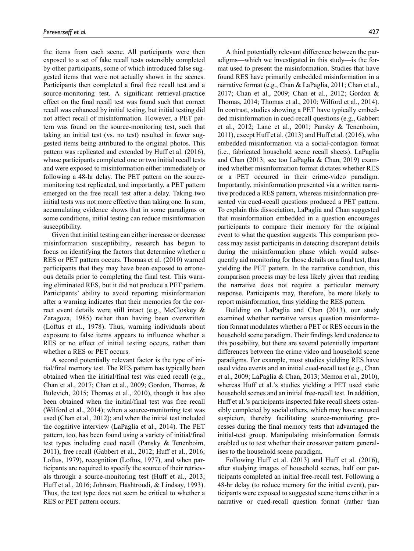the items from each scene. All participants were then exposed to a set of fake recall tests ostensibly completed by other participants, some of which introduced false suggested items that were not actually shown in the scenes. Participants then completed a final free recall test and a source-monitoring test. A significant retrieval-practice effect on the final recall test was found such that correct recall was enhanced by initial testing, but initial testing did not affect recall of misinformation. However, a PET pattern was found on the source-monitoring test, such that taking an initial test (vs. no test) resulted in fewer suggested items being attributed to the original photos. This pattern was replicated and extended by Huff et al. (2016), whose participants completed one or two initial recall tests and were exposed to misinformation either immediately or following a 48-hr delay. The PET pattern on the sourcemonitoring test replicated, and importantly, a PET pattern emerged on the free recall test after a delay. Taking two initial tests was not more effective than taking one. In sum, accumulating evidence shows that in some paradigms or some conditions, initial testing can reduce misinformation susceptibility.

Given that initial testing can either increase or decrease misinformation susceptibility, research has begun to focus on identifying the factors that determine whether a RES or PET pattern occurs. Thomas et al. (2010) warned participants that they may have been exposed to erroneous details prior to completing the final test. This warning eliminated RES, but it did not produce a PET pattern. Participants' ability to avoid reporting misinformation after a warning indicates that their memories for the correct event details were still intact (e.g., McCloskey & Zaragoza, 1985) rather than having been overwritten (Loftus et al., 1978). Thus, warning individuals about exposure to false items appears to influence whether a RES or no effect of initial testing occurs, rather than whether a RES or PET occurs.

A second potentially relevant factor is the type of initial/final memory test. The RES pattern has typically been obtained when the initial/final test was cued recall (e.g., Chan et al., 2017; Chan et al., 2009; Gordon, Thomas, & Bulevich, 2015; Thomas et al., 2010), though it has also been obtained when the initial/final test was free recall (Wilford et al., 2014); when a source-monitoring test was used (Chan et al., 2012); and when the initial test included the cognitive interview (LaPaglia et al., 2014). The PET pattern, too, has been found using a variety of initial/final test types including cued recall (Pansky & Tenenboim, 2011), free recall (Gabbert et al., 2012; Huff et al., 2016; Loftus, 1979), recognition (Loftus, 1977), and when participants are required to specify the source of their retrievals through a source-monitoring test (Huff et al., 2013; Huff et al., 2016; Johnson, Hashtroudi, & Lindsay, 1993). Thus, the test type does not seem be critical to whether a RES or PET pattern occurs.

A third potentially relevant difference between the paradigms—which we investigated in this study—is the format used to present the misinformation. Studies that have found RES have primarily embedded misinformation in a narrative format (e.g., Chan & LaPaglia, 2011; Chan et al., 2017; Chan et al., 2009; Chan et al., 2012; Gordon & Thomas, 2014; Thomas et al., 2010; Wilford et al., 2014). In contrast, studies showing a PET have typically embedded misinformation in cued-recall questions (e.g., Gabbert et al., 2012; Lane et al., 2001; Pansky & Tenenboim, 2011), except Huff et al. (2013) and Huff et al. (2016), who embedded misinformation via a social-contagion format (i.e., fabricated household scene recall sheets). LaPaglia and Chan (2013; see too LaPaglia & Chan, 2019) examined whether misinformation format dictates whether RES or a PET occurred in their crime-video paradigm. Importantly, misinformation presented via a written narrative produced a RES pattern, whereas misinformation presented via cued-recall questions produced a PET pattern. To explain this dissociation, LaPaglia and Chan suggested that misinformation embedded in a question encourages participants to compare their memory for the original event to what the question suggests. This comparison process may assist participants in detecting discrepant details during the misinformation phase which would subsequently aid monitoring for those details on a final test, thus yielding the PET pattern. In the narrative condition, this comparison process may be less likely given that reading the narrative does not require a particular memory response. Participants may, therefore, be more likely to report misinformation, thus yielding the RES pattern.

Building on LaPaglia and Chan (2013), our study examined whether narrative versus question misinformation format modulates whether a PET or RES occurs in the household scene paradigm. Their findings lend credence to this possibility, but there are several potentially important differences between the crime video and household scene paradigms. For example, most studies yielding RES have used video events and an initial cued-recall test (e.g., Chan et al., 2009; LaPaglia & Chan, 2013; Memon et al., 2010), whereas Huff et al.'s studies yielding a PET used static household scenes and an initial free-recall test. In addition, Huff et al.'s participants inspected fake recall sheets ostensibly completed by social others, which may have aroused suspicion, thereby facilitating source-monitoring processes during the final memory tests that advantaged the initial-test group. Manipulating misinformation formats enabled us to test whether their crossover pattern generalises to the household scene paradigm.

Following Huff et al. (2013) and Huff et al. (2016), after studying images of household scenes, half our participants completed an initial free-recall test. Following a 48-hr delay (to reduce memory for the initial event), participants were exposed to suggested scene items either in a narrative or cued-recall question format (rather than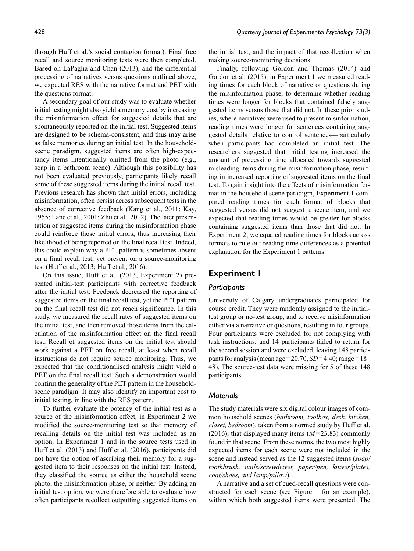through Huff et al.'s social contagion format). Final free recall and source monitoring tests were then completed. Based on LaPaglia and Chan (2013), and the differential processing of narratives versus questions outlined above, we expected RES with the narrative format and PET with the questions format.

A secondary goal of our study was to evaluate whether initial testing might also yield a memory cost by increasing the misinformation effect for suggested details that are spontaneously reported on the initial test. Suggested items are designed to be schema-consistent, and thus may arise as false memories during an initial test. In the householdscene paradigm, suggested items are often high-expectancy items intentionally omitted from the photo (e.g., soap in a bathroom scene). Although this possibility has not been evaluated previously, participants likely recall some of these suggested items during the initial recall test. Previous research has shown that initial errors, including misinformation, often persist across subsequent tests in the absence of corrective feedback (Kang et al., 2011; Kay, 1955; Lane et al., 2001; Zhu et al., 2012). The later presentation of suggested items during the misinformation phase could reinforce those initial errors, thus increasing their likelihood of being reported on the final recall test. Indeed, this could explain why a PET pattern is sometimes absent on a final recall test, yet present on a source-monitoring test (Huff et al., 2013; Huff et al., 2016).

On this issue, Huff et al. (2013, Experiment 2) presented initial-test participants with corrective feedback after the initial test. Feedback decreased the reporting of suggested items on the final recall test, yet the PET pattern on the final recall test did not reach significance. In this study, we measured the recall rates of suggested items on the initial test, and then removed those items from the calculation of the misinformation effect on the final recall test. Recall of suggested items on the initial test should work against a PET on free recall, at least when recall instructions do not require source monitoring. Thus, we expected that the conditionalised analysis might yield a PET on the final recall test. Such a demonstration would confirm the generality of the PET pattern in the householdscene paradigm. It may also identify an important cost to initial testing, in line with the RES pattern.

To further evaluate the potency of the initial test as a source of the misinformation effect, in Experiment 2 we modified the source-monitoring test so that memory of recalling details on the initial test was included as an option. In Experiment 1 and in the source tests used in Huff et al. (2013) and Huff et al. (2016), participants did not have the option of ascribing their memory for a suggested item to their responses on the initial test. Instead, they classified the source as either the household scene photo, the misinformation phase, or neither. By adding an initial test option, we were therefore able to evaluate how often participants recollect outputting suggested items on

the initial test, and the impact of that recollection when making source-monitoring decisions.

Finally, following Gordon and Thomas (2014) and Gordon et al. (2015), in Experiment 1 we measured reading times for each block of narrative or questions during the misinformation phase, to determine whether reading times were longer for blocks that contained falsely suggested items versus those that did not. In these prior studies, where narratives were used to present misinformation, reading times were longer for sentences containing suggested details relative to control sentences—particularly when participants had completed an initial test. The researchers suggested that initial testing increased the amount of processing time allocated towards suggested misleading items during the misinformation phase, resulting in increased reporting of suggested items on the final test. To gain insight into the effects of misinformation format in the household scene paradigm, Experiment 1 compared reading times for each format of blocks that suggested versus did not suggest a scene item, and we expected that reading times would be greater for blocks containing suggested items than those that did not. In Experiment 2, we equated reading times for blocks across formats to rule out reading time differences as a potential explanation for the Experiment 1 patterns.

# **Experiment 1**

# *Participants*

University of Calgary undergraduates participated for course credit. They were randomly assigned to the initialtest group or no-test group, and to receive misinformation either via a narrative or questions, resulting in four groups. Four participants were excluded for not complying with task instructions, and 14 participants failed to return for the second session and were excluded, leaving 148 participants for analysis (mean age=20.70, *SD*=4.40; range=18– 48). The source-test data were missing for 5 of these 148 participants.

# *Materials*

The study materials were six digital colour images of common household scenes (*bathroom, toolbox, desk, kitchen, closet, bedroom*), taken from a normed study by Huff et al. (2016), that displayed many items (*M*=23.83) commonly found in that scene. From these norms, the two most highly expected items for each scene were not included in the scene and instead served as the 12 suggested items (*soap/ toothbrush, nails/screwdriver, paper/pen, knives/plates, coat/shoes, and lamp/pillow*).

A narrative and a set of cued-recall questions were constructed for each scene (see Figure 1 for an example), within which both suggested items were presented. The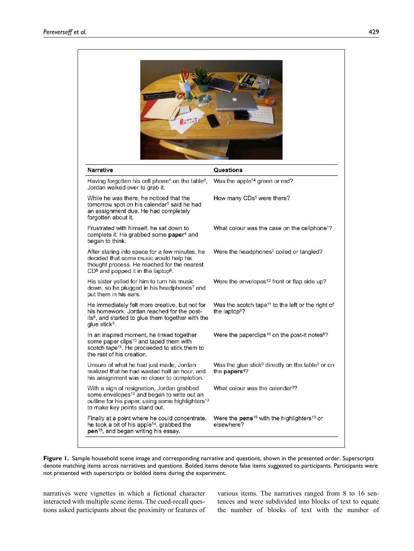| Narrative                                                                                                                                                                                             | Questions                                                                                             |
|-------------------------------------------------------------------------------------------------------------------------------------------------------------------------------------------------------|-------------------------------------------------------------------------------------------------------|
| Having forgotten his cell phone <sup>1</sup> on the table <sup>2</sup> ,<br>Jordan walked over to grab it.                                                                                            | Was the apple <sup>14</sup> green or red?                                                             |
| While he was there, he noticed that the<br>tomorrow spot on his calendar <sup>3</sup> said he had<br>an assignment due. He had completely<br>forgotten about it.                                      | How many CDs <sup>5</sup> were there?                                                                 |
| Frustrated with himself, he sat down to<br>complete it. He grabbed some paper <sup>4</sup> and<br>began to think.                                                                                     | What colour was the case on the cellphone <sup>1</sup> ?                                              |
| After staring into space for a few minutes, he<br>decided that some music would help his<br>thought process. He reached for the nearest<br>CD <sup>5</sup> and popped it in the laptop <sup>6</sup> . | Were the headphones <sup>7</sup> coiled or tangled?                                                   |
| His sister yelled for him to turn his music<br>down, so he plugged in his headphones7 and<br>put them in his ears.                                                                                    | Were the envelopes <sup>12</sup> front or flap side up?                                               |
| He immediately felt more creative, but not for<br>his homework. Jordan reached for the post-<br>its <sup>8</sup> , and started to glue them together with the<br>glue stick <sup>9</sup> .            | Was the scotch tape <sup>11</sup> to the left or the right of<br>the laptop <sup>6</sup> ?            |
| In an inspired moment, he linked together<br>some paper clips <sup>10</sup> and taped them with<br>scotch tape <sup>11</sup> . He proceeded to stick them to<br>the rest of his creation.             | Were the paperclips <sup>10</sup> on the post-it notes <sup>8</sup> ?                                 |
| Unsure of what he had just made, Jordan<br>realized that he had wasted half an hour, and<br>his assignment was no closer to completion.                                                               | Was the glue stick <sup>9</sup> directly on the table <sup>2</sup> or on<br>the papers <sup>4</sup> ? |
| With a sign of resignation, Jordan grabbed<br>some envelopes <sup>12</sup> and began to write out an<br>outline for his paper, using some highlighters <sup>13</sup><br>to make key points stand out. | What colour was the calendar <sup>3</sup> ?                                                           |
| Finally at a point where he could concentrate,<br>he took a bit of his apple <sup>14</sup> , grabbed the<br>pen <sup>15</sup> , and began writing his essay.                                          | Were the pens <sup>15</sup> with the highlighters <sup>13</sup> or<br>elsewhere?                      |

**Figure 1.** Sample household scene image and corresponding narrative and questions, shown in the presented order. Superscripts denote matching items across narratives and questions. Bolded items denote false items suggested to participants. Participants were not presented with superscripts or bolded items during the experiment.

narratives were vignettes in which a fictional character interacted with multiple scene items. The cued-recall questions asked participants about the proximity or features of various items. The narratives ranged from 8 to 16 sentences and were subdivided into blocks of text to equate the number of blocks of text with the number of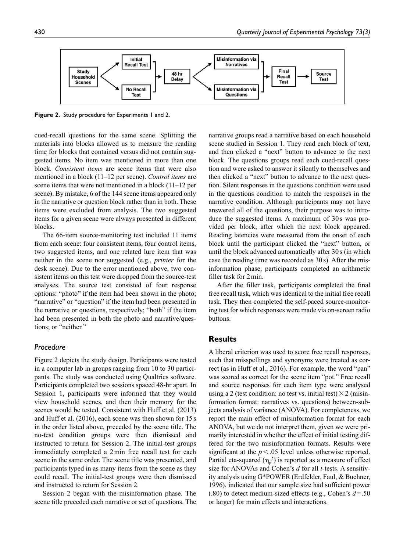

**Figure 2.** Study procedure for Experiments 1 and 2.

cued-recall questions for the same scene. Splitting the materials into blocks allowed us to measure the reading time for blocks that contained versus did not contain suggested items. No item was mentioned in more than one block. *Consistent items* are scene items that were also mentioned in a block (11–12 per scene). *Control items* are scene items that were not mentioned in a block (11–12 per scene). By mistake, 6 of the 144 scene items appeared only in the narrative or question block rather than in both. These items were excluded from analysis. The two suggested items for a given scene were always presented in different blocks.

The 66-item source-monitoring test included 11 items from each scene: four consistent items, four control items, two suggested items, and one related lure item that was neither in the scene nor suggested (e.g., *printer* for the desk scene). Due to the error mentioned above, two consistent items on this test were dropped from the source-test analyses. The source test consisted of four response options: "photo" if the item had been shown in the photo; "narrative" or "question" if the item had been presented in the narrative or questions, respectively; "both" if the item had been presented in both the photo and narrative/questions; or "neither."

# *Procedure*

Figure 2 depicts the study design. Participants were tested in a computer lab in groups ranging from 10 to 30 participants. The study was conducted using Qualtrics software. Participants completed two sessions spaced 48-hr apart. In Session 1, participants were informed that they would view household scenes, and then their memory for the scenes would be tested. Consistent with Huff et al. (2013) and Huff et al. (2016), each scene was then shown for 15 s in the order listed above, preceded by the scene title. The no-test condition groups were then dismissed and instructed to return for Session 2. The initial-test groups immediately completed a 2min free recall test for each scene in the same order. The scene title was presented, and participants typed in as many items from the scene as they could recall. The initial-test groups were then dismissed and instructed to return for Session 2.

Session 2 began with the misinformation phase. The scene title preceded each narrative or set of questions. The

narrative groups read a narrative based on each household scene studied in Session 1. They read each block of text, and then clicked a "next" button to advance to the next block. The questions groups read each cued-recall question and were asked to answer it silently to themselves and then clicked a "next" button to advance to the next question. Silent responses in the questions condition were used in the questions condition to match the responses in the narrative condition. Although participants may not have answered all of the questions, their purpose was to introduce the suggested items. A maximum of 30s was provided per block, after which the next block appeared. Reading latencies were measured from the onset of each block until the participant clicked the "next" button, or until the block advanced automatically after 30 s (in which case the reading time was recorded as 30s). After the misinformation phase, participants completed an arithmetic filler task for 2min.

After the filler task, participants completed the final free recall task, which was identical to the initial free recall task. They then completed the self-paced source-monitoring test for which responses were made via on-screen radio buttons.

# **Results**

A liberal criterion was used to score free recall responses, such that misspellings and synonyms were treated as correct (as in Huff et al., 2016). For example, the word "pan" was scored as correct for the scene item "pot." Free recall and source responses for each item type were analysed using a 2 (test condition: no test vs. initial test)  $\times$  2 (misinformation format: narratives vs. questions) between-subjects analysis of variance (ANOVA). For completeness, we report the main effect of misinformation format for each ANOVA, but we do not interpret them, given we were primarily interested in whether the effect of initial testing differed for the two misinformation formats. Results were significant at the  $p < .05$  level unless otherwise reported. Partial eta-squared  $(\eta_p^2)$  is reported as a measure of effect size for ANOVAs and Cohen's *d* for all *t*-tests. A sensitivity analysis using G\*POWER (Erdfelder, Faul, & Buchner, 1996), indicated that our sample size had sufficient power (.80) to detect medium-sized effects (e.g., Cohen's *d*=.50 or larger) for main effects and interactions.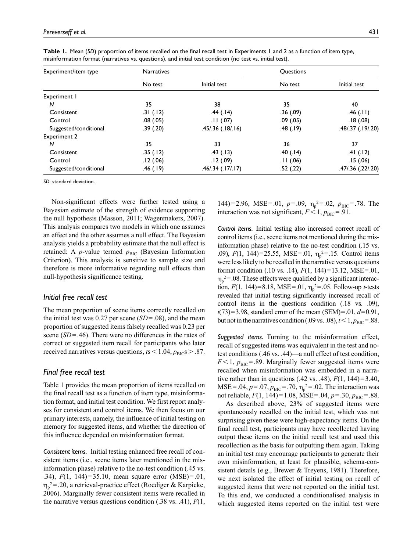| Experiment/item type  | <b>Narratives</b> |                           | Questions |                   |
|-----------------------|-------------------|---------------------------|-----------|-------------------|
|                       | No test           | Initial test              | No test   | Initial test      |
| Experiment I          |                   |                           |           |                   |
| N                     | 35                | 38                        | 35        | 40                |
| Consistent            | .31(.12)          | .44(.14)                  | .36(.09)  | .46(.11)          |
| Control               | .08(0.05)         | .11(.07)                  | .09(0.05) | .18(0.08)         |
| Suggested/conditional | .39(.20)          | $.45/0.36$ ( $.18/0.16$ ) | .48(.19)  | .48/.37 (.19/.20) |
| <b>Experiment 2</b>   |                   |                           |           |                   |
| N                     | 35                | 33                        | 36        | 37                |
| Consistent            | .35(.12)          | .43(.13)                  | .40(.14)  | .41 (.12)         |
| Control               | .12(.06)          | .12(.09)                  | .11(.06)  | .15(0.06)         |
| Suggested/conditional | .46 (.19)         | .46/.34(.17/.17)          | .52(.22)  | .47/.36 (.22/.20) |

**Table 1.** Mean (*SD*) proportion of items recalled on the final recall test in Experiments 1 and 2 as a function of item type, misinformation format (narratives vs. questions), and initial test condition (no test vs. initial test).

Non-significant effects were further tested using a Bayesian estimate of the strength of evidence supporting the null hypothesis (Masson, 2011; Wagenmakers, 2007). This analysis compares two models in which one assumes an effect and the other assumes a null effect. The Bayesian analysis yields a probability estimate that the null effect is retained: A  $p$ -value termed  $p<sub>BIC</sub>$  (Bayesian Information Criterion). This analysis is sensitive to sample size and therefore is more informative regarding null effects than null-hypothesis significance testing.

# *Initial free recall test*

The mean proportion of scene items correctly recalled on the initial test was 0.27 per scene (*SD*=.08), and the mean proportion of suggested items falsely recalled was 0.23 per scene (*SD*=.46). There were no differences in the rates of correct or suggested item recall for participants who later received narratives versus questions,  $t s < 1.04$ ,  $p_{BIC}s > .87$ .

# *Final free recall test*

Table 1 provides the mean proportion of items recalled on the final recall test as a function of item type, misinformation format, and initial test condition. We first report analyses for consistent and control items. We then focus on our primary interests, namely, the influence of initial testing on memory for suggested items, and whether the direction of this influence depended on misinformation format.

*Consistent items.* Initial testing enhanced free recall of consistent items (i.e., scene items later mentioned in the misinformation phase) relative to the no-test condition (.45 vs. .34), *F*(1, 144)=35.10, mean square error (MSE)=.01,  $\eta_p^2$  = .20, a retrieval-practice effect (Roediger & Karpicke, 2006). Marginally fewer consistent items were recalled in the narrative versus questions condition (.38 vs. .41), *F*(1,

144)=2.96, MSE=.01,  $p = .09$ ,  $\eta_p^2 = .02$ ,  $p_{BIC} = .78$ . The interaction was not significant,  $F < 1$ ,  $p_{\text{BIC}} = .91$ .

*Control items.* Initial testing also increased correct recall of control items (i.e., scene items not mentioned during the misinformation phase) relative to the no-test condition (.15 vs. .09),  $F(1, 144) = 25.55$ , MSE=.01,  $\eta_p^2 = .15$ . Control items were less likely to be recalled in the narrative versus questions format condition (.10 vs. .14), *F*(1, 144)=13.12, MSE=.01,  $\eta_p^2$  = .08. These effects were qualified by a significant interaction,  $F(1, 144) = 8.18$ , MSE = .01,  $\eta_p^2 = 0.05$ . Follow-up *t*-tests revealed that initial testing significantly increased recall of control items in the questions condition (.18 vs. .09), *t*(73)=3.98, standard error of the mean (SEM)=.01, *d*=0.91, but not in the narratives condition (.09 vs. .08),  $t < 1$ ,  $p_{\text{BIC}} = .88$ .

*Suggested items.* Turning to the misinformation effect, recall of suggested items was equivalent in the test and notest conditions (.46 vs. .44)—a null effect of test condition,  $F<1$ ,  $p_{\text{BIC}}$  = .89. Marginally fewer suggested items were recalled when misinformation was embedded in a narrative rather than in questions (.42 vs. .48), *F*(1, 144)=3.40,  $MSE = .04, p = .07, p_{BIC} = .70, \eta_p^2 = .02$ . The interaction was not reliable,  $F(1, 144) = 1.08$ ,  $\overline{MSE} = .04$ ,  $p = .30$ ,  $p_{\text{BIC}} = .88$ .

As described above, 23% of suggested items were spontaneously recalled on the initial test, which was not surprising given these were high-expectancy items. On the final recall test, participants may have recollected having output these items on the initial recall test and used this recollection as the basis for outputting them again. Taking an initial test may encourage participants to generate their own misinformation, at least for plausible, schema-consistent details (e.g., Brewer & Treyens, 1981). Therefore, we next isolated the effect of initial testing on recall of suggested items that were not reported on the initial test. To this end, we conducted a conditionalised analysis in which suggested items reported on the initial test were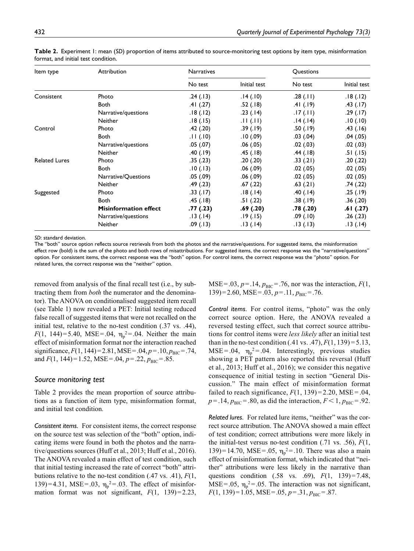| Item type            | Attribution                  | <b>Narratives</b> |              | Questions |              |
|----------------------|------------------------------|-------------------|--------------|-----------|--------------|
|                      |                              | No test           | Initial test | No test   | Initial test |
| Consistent           | Photo                        | .24(.13)          | .14(.10)     | .28(11)   | .18(.12)     |
|                      | <b>Both</b>                  | .41(.27)          | .52(.18)     | .41 (.19) | .43(.17)     |
|                      | Narrative/questions          | .18(.12)          | .23( .14)    | .17(.11)  | .29 (.17)    |
|                      | <b>Neither</b>               | .18(.15)          | .11(.11)     | .14(.14)  | .10 (.10)    |
| Control              | Photo                        | .42(.20)          | .39 (.19)    | .50(.19)  | .43(.16)     |
|                      | <b>Both</b>                  | .11(.10)          | .10(.09)     | .03(0.04) | .04(0.05)    |
|                      | Narrative/questions          | .05(.07)          | .06(.05)     | .02(.03)  | .02(.03)     |
|                      | <b>Neither</b>               | .40(.19)          | .45(.18)     | .44 (.18) | .51(.15)     |
| <b>Related Lures</b> | Photo                        | .35(.23)          | .20(.20)     | .33(.21)  | .20(0.22)    |
|                      | <b>Both</b>                  | .10(.13)          | .06 (.09)    | .02(.05)  | .02(0.05)    |
|                      | Narrative/Questions          | .05(0.09)         | .06 (.09)    | .02(0.05) | .02(.05)     |
|                      | <b>Neither</b>               | .49(0.23)         | .67(0.22)    | .63(.21)  | .74 (.22)    |
| Suggested            | Photo                        | .33(.17)          | .18(.14)     | .40(.14)  | .25 (.19)    |
|                      | <b>Both</b>                  | .45(.18)          | .51(.22)     | .38(.19)  | .36(.20)     |
|                      | <b>Misinformation effect</b> | .77(0.23)         | .69(0.20)    | .78(.20)  | .61(.27)     |
|                      | Narrative/questions          | .13(.14)          | .19(.15)     | .09(.10)  | .26(.23)     |
|                      | <b>Neither</b>               | .09(.13)          | .13( .14)    | .13(.13)  | .13 (.14)    |

**Table 2.** Experiment 1: mean (*SD*) proportion of items attributed to source-monitoring test options by item type, misinformation format, and initial test condition.

The "both" source option reflects source retrievals from both the photos and the narrative/questions. For suggested items, the misinformation effect row (bold) is the sum of the photo and both rows of misattributions. For suggested items, the correct response was the "narrative/questions" option. For consistent items, the correct response was the "both" option. For control items, the correct response was the "photo" option. For related lures, the correct response was the "neither" option.

removed from analysis of the final recall test (i.e., by subtracting them from *both* the numerator and the denominator). The ANOVA on conditionalised suggested item recall (see Table 1) now revealed a PET: Initial testing reduced false recall of suggested items that were not recalled on the initial test, relative to the no-test condition (.37 vs. .44), *F*(1, 144)=5.40, MSE=.04,  $\eta_p^2$ =.04. Neither the main effect of misinformation format nor the interaction reached significance,  $F(1, 144) = 2.81$ ,  $MSE = .04$ ,  $p = .10$ ,  $p_{BIC} = .74$ , and  $F(1, 144) = 1.52$ , MSE = .04,  $p = .22$ ,  $p_{\text{BIC}} = .85$ .

#### *Source monitoring test*

Table 2 provides the mean proportion of source attributions as a function of item type, misinformation format, and initial test condition.

*Consistent items.* For consistent items, the correct response on the source test was selection of the "both" option, indicating items were found in both the photos and the narrative/questions sources (Huff et al., 2013; Huff et al., 2016). The ANOVA revealed a main effect of test condition, such that initial testing increased the rate of correct "both" attributions relative to the no-test condition (.47 vs. .41), *F*(1, 139)=4.31, MSE=.03,  $\eta_p^2 = 0.03$ . The effect of misinformation format was not significant,  $F(1, 139)=2.23$ ,  $MSE = .03$ ,  $p = .14$ ,  $p_{BIC} = .76$ , nor was the interaction,  $F(1)$ ,  $139$ )=2.60, MSE=.03, *p*=.11,  $p_{BIC}$ =.76.

*Control items.* For control items, "photo" was the only correct source option. Here, the ANOVA revealed a reversed testing effect, such that correct source attributions for control items were *less likely* after an initial test than in the no-test condition (.41 vs. .47),  $F(1, 139) = 5.13$ ,  $MSE = .04$ ,  $\eta_p^2 = .04$ . Interestingly, previous studies showing a PET pattern also reported this reversal (Huff et al., 2013; Huff et al., 2016); we consider this negative consequence of initial testing in section "General Discussion." The main effect of misinformation format failed to reach significance,  $F(1, 139) = 2.20$ , MSE = .04,  $p = .14$ ,  $p_{\text{BIC}} = .80$ , as did the interaction,  $F < 1$ ,  $p_{\text{BIC}} = .92$ .

*Related lures.* For related lure items, "neither" was the correct source attribution. The ANOVA showed a main effect of test condition; correct attributions were more likely in the initial-test versus no-test condition (.71 vs. .56), *F*(1, 139)=14.70, MSE=.05,  $\eta_p^2$ =.10. There was also a main effect of misinformation format, which indicated that "neither" attributions were less likely in the narrative than questions condition (.58 vs. .69), *F*(1, 139)=7.48,  $MSE = .05$ ,  $\eta_p^2 = .05$ . The interaction was not significant,  $F(1, 139) = 1.05$ , MSE = .05,  $p = .31$ ,  $p_{BIC} = .87$ .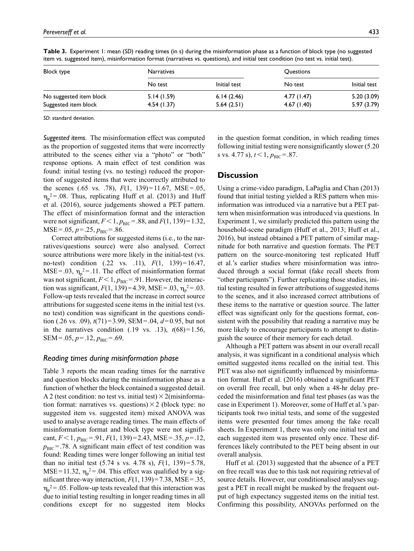| Block type              | <b>Narratives</b> |              |            | Questions    |  |
|-------------------------|-------------------|--------------|------------|--------------|--|
|                         | No test           | Initial test | No test    | Initial test |  |
| No suggested item block | 5.14(1.59)        | 6.14(2.46)   | 4.77(1.47) | 5.20(3.09)   |  |
| Suggested item block    | 4.54(1.37)        | 5.64(2.51)   | 4.67(1.40) | 5.97(3.79)   |  |

**Table 3.** Experiment 1: mean (*SD*) reading times (in s) during the misinformation phase as a function of block type (no suggested item vs. suggested item), misinformation format (narratives vs. questions), and initial test condition (no test vs. initial test).

*Suggested items.* The misinformation effect was computed as the proportion of suggested items that were incorrectly attributed to the scenes either via a "photo" or "both" response options. A main effect of test condition was found: initial testing (vs. no testing) reduced the proportion of suggested items that were incorrectly attributed to the scenes (.65 vs. .78), *F*(1, 139)=11.67, MSE=.05,  $\eta_p^2$  = .08. Thus, replicating Huff et al. (2013) and Huff et al. (2016), source judgements showed a PET pattern. The effect of misinformation format and the interaction were not significant,  $F < 1$ ,  $p_{BIC} = .88$ , and  $F(1, 139) = 1.32$ ,  $MSE = .05, p = .25, p_{BIC} = .86.$ 

Correct attributions for suggested items (i.e., to the narratives/questions source) were also analysed. Correct source attributions were more likely in the initial-test (vs. no-test) condition (.22 vs. .11), *F*(1, 139)=16.47,  $MSE = .03$ ,  $\eta_p^2 = .11$ . The effect of misinformation format was not significant,  $F < 1$ ,  $p_{\text{BIC}} = .91$ . However, the interaction was significant,  $F(1, 139)=4.39$ , MSE = .03,  $\eta_p^2$  = .03. Follow-up tests revealed that the increase in correct source attributions for suggested scene items in the initial test (vs. no test) condition was significant in the questions condition (.26 vs. .09), *t*(71)=3.99, SEM=.04, *d*=0.95, but not in the narratives condition  $(.19 \text{ vs. } .13)$ ,  $t(68)=1.56$ ,  $SEM = .05, p = .12, p_{BIC} = .69.$ 

# *Reading times during misinformation phase*

Table 3 reports the mean reading times for the narrative and question blocks during the misinformation phase as a function of whether the block contained a suggested detail. A 2 (test condition: no test vs. initial test)  $\times$  2(misinformation format: narratives vs. questions) $\times$ 2 (block type: no suggested item vs. suggested item) mixed ANOVA was used to analyse average reading times. The main effects of misinformation format and block type were not significant,  $F < 1$ ,  $p_{\text{BIC}} = .91$ ,  $F(1, 139) = 2.43$ , MSE = .35,  $p = .12$ ,  $p_{\text{BIC}}$  = .78. A significant main effect of test condition was found: Reading times were longer following an initial test than no initial test (5.74 s vs. 4.78 s), *F*(1, 139)=5.78,  $MSE = 11.32$ ,  $\eta_p^2 = 0.04$ . This effect was qualified by a significant three-way interaction,  $F(1, 139) = 7.38$ , MSE = .35,  $\eta_p^2$  = .05. Follow-up tests revealed that this interaction was due to initial testing resulting in longer reading times in all conditions except for no suggested item blocks

in the question format condition, in which reading times following initial testing were nonsignificantly slower (5.20 s vs. 4.77 s),  $t < 1$ ,  $p_{BIC} = .87$ .

# **Discussion**

Using a crime-video paradigm, LaPaglia and Chan (2013) found that initial testing yielded a RES pattern when misinformation was introduced via a narrative but a PET pattern when misinformation was introduced via questions. In Experiment 1, we similarly predicted this pattern using the household-scene paradigm (Huff et al., 2013; Huff et al., 2016), but instead obtained a PET pattern of similar magnitude for both narrative and question formats. The PET pattern on the source-monitoring test replicated Huff et al.'s earlier studies where misinformation was introduced through a social format (fake recall sheets from "other participants"). Further replicating those studies, initial testing resulted in fewer attributions of suggested items to the scenes, and it also increased correct attributions of these items to the narrative or question source. The latter effect was significant only for the questions format, consistent with the possibility that reading a narrative may be more likely to encourage participants to attempt to distinguish the source of their memory for each detail.

Although a PET pattern was absent in our overall recall analysis, it was significant in a conditional analysis which omitted suggested items recalled on the initial test. This PET was also not significantly influenced by misinformation format. Huff et al. (2016) obtained a significant PET on overall free recall, but only when a 48-hr delay preceded the misinformation and final test phases (as was the case in Experiment 1). Moreover, some of Huff et al.'s participants took two initial tests, and some of the suggested items were presented four times among the fake recall sheets. In Experiment 1, there was only one initial test and each suggested item was presented only once. These differences likely contributed to the PET being absent in our overall analysis.

Huff et al. (2013) suggested that the absence of a PET on free recall was due to this task not requiring retrieval of source details. However, our conditionalised analyses suggest a PET in recall might be masked by the frequent output of high expectancy suggested items on the initial test. Confirming this possibility, ANOVAs performed on the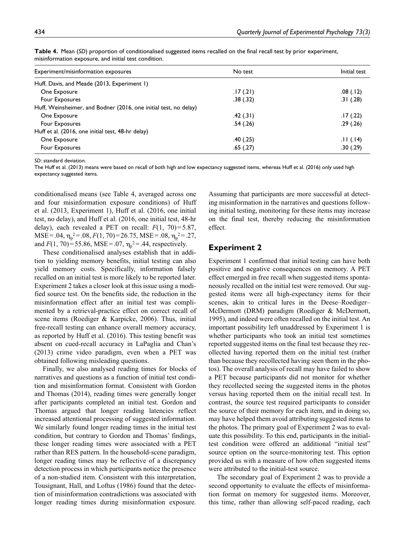| Experiment/misinformation exposures                              | No test  | Initial test |
|------------------------------------------------------------------|----------|--------------|
| Huff, Davis, and Meade (2013, Experiment 1)                      |          |              |
| One Exposure                                                     | .17(.21) | .08(.12)     |
| Four Exposures                                                   | .38(.32) | .31(.28)     |
| Huff, Weinsheimer, and Bodner (2016, one initial test, no delay) |          |              |
| One Exposure                                                     | .42(.31) | .17(.22)     |
| Four Exposures                                                   | .54(.26) | .29(0.26)    |
| Huff et al. (2016, one initial test, 48-hr delay)                |          |              |
| One Exposure                                                     | .40(.25) | .11(.14)     |
| Four Exposures                                                   | .65(.27) | .30(.29)     |

**Table 4.** Mean (*SD*) proportion of conditionalised suggested items recalled on the final recall test by prior experiment, misinformation exposure, and initial test condition.

The Huff et al. (2013) means were based on recall of both high and low expectancy suggested items, whereas Huff et al. (2016) only used high expectancy suggested items.

conditionalised means (see Table 4, averaged across one and four misinformation exposure conditions) of Huff et al. (2013, Experiment 1), Huff et al. (2016, one initial test, no delay), and Huff et al. (2016, one initial test, 48-hr delay), each revealed a PET on recall:  $F(1, 70) = 5.87$ ,  $MSE = .04$ ,  $\eta_p^2 = .08$ ,  $F(1, 70) = 26.75$ ,  $MSE = .08$ ,  $\eta_p^2 = .27$ , and  $F(1, 70) = 55.86$ , MSE = .07,  $\eta_p^2 = 0.44$ , respectively.

These conditionalised analyses establish that in addition to yielding memory benefits, initial testing can also yield memory costs. Specifically, information falsely recalled on an initial test is more likely to be reported later. Experiment 2 takes a closer look at this issue using a modified source test. On the benefits side, the reduction in the misinformation effect after an initial test was complimented by a retrieval-practice effect on correct recall of scene items (Roediger & Karpicke, 2006). Thus, initial free-recall testing can enhance overall memory accuracy, as reported by Huff et al. (2016). This testing benefit was absent on cued-recall accuracy in LaPaglia and Chan's (2013) crime video paradigm, even when a PET was obtained following misleading questions.

Finally, we also analysed reading times for blocks of narratives and questions as a function of initial test condition and misinformation format. Consistent with Gordon and Thomas (2014), reading times were generally longer after participants completed an initial test. Gordon and Thomas argued that longer reading latencies reflect increased attentional processing of suggested information. We similarly found longer reading times in the initial test condition, but contrary to Gordon and Thomas' findings, these longer reading times were associated with a PET rather than RES pattern. In the household-scene paradigm, longer reading times may be reflective of a discrepancy detection process in which participants notice the presence of a non-studied item. Consistent with this interpretation, Tousignant, Hall, and Loftus (1986) found that the detection of misinformation contradictions was associated with longer reading times during misinformation exposure.

Assuming that participants are more successful at detecting misinformation in the narratives and questions following initial testing, monitoring for these items may increase on the final test, thereby reducing the misinformation effect.

# **Experiment 2**

Experiment 1 confirmed that initial testing can have both positive and negative consequences on memory. A PET effect emerged in free recall when suggested items spontaneously recalled on the initial test were removed. Our suggested items were all high-expectancy items for their scenes, akin to critical lures in the Deese–Roediger– McDermott (DRM) paradigm (Roediger & McDermott, 1995), and indeed were often recalled on the initial test. An important possibility left unaddressed by Experiment 1 is whether participants who took an initial test sometimes reported suggested items on the final test because they recollected having reported them on the initial test (rather than because they recollected having seen them in the photos). The overall analysis of recall may have failed to show a PET because participants did not monitor for whether they recollected seeing the suggested items in the photos versus having reported them on the initial recall test. In contrast, the source test required participants to consider the source of their memory for each item, and in doing so, may have helped them avoid attributing suggested items to the photos. The primary goal of Experiment 2 was to evaluate this possibility. To this end, participants in the initialtest condition were offered an additional "initial test" source option on the source-monitoring test. This option provided us with a measure of how often suggested items were attributed to the initial-test source.

The secondary goal of Experiment 2 was to provide a second opportunity to evaluate the effects of misinformation format on memory for suggested items. Moreover, this time, rather than allowing self-paced reading, each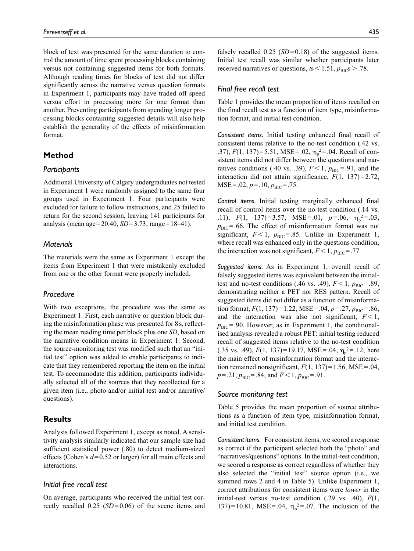block of text was presented for the same duration to control the amount of time spent processing blocks containing versus not containing suggested items for both formats. Although reading times for blocks of text did not differ significantly across the narrative versus question formats in Experiment 1, participants may have traded off speed versus effort in processing more for one format than another. Preventing participants from spending longer processing blocks containing suggested details will also help establish the generality of the effects of misinformation format.

# **Method**

# *Participants*

Additional University of Calgary undergraduates not tested in Experiment 1 were randomly assigned to the same four groups used in Experiment 1. Four participants were excluded for failure to follow instructions, and 25 failed to return for the second session, leaving 141 participants for analysis (mean age=20.40, *SD*=3.73; range=18–41).

# *Materials*

The materials were the same as Experiment 1 except the items from Experiment 1 that were mistakenly excluded from one or the other format were properly included.

## *Procedure*

With two exceptions, the procedure was the same as Experiment 1. First, each narrative or question block during the misinformation phase was presented for 8 s, reflecting the mean reading time per block plus one *SD*, based on the narrative condition means in Experiment 1. Second, the source-monitoring test was modified such that an "initial test" option was added to enable participants to indicate that they remembered reporting the item on the initial test. To accommodate this addition, participants individually selected all of the sources that they recollected for a given item (i.e., photo and/or initial test and/or narrative/ questions).

# **Results**

Analysis followed Experiment 1, except as noted. A sensitivity analysis similarly indicated that our sample size had sufficient statistical power (.80) to detect medium-sized effects (Cohen's *d*=0.52 or larger) for all main effects and interactions.

# *Initial free recall test*

On average, participants who received the initial test correctly recalled 0.25 (*SD*=0.06) of the scene items and

falsely recalled 0.25 (*SD*=0.18) of the suggested items. Initial test recall was similar whether participants later received narratives or questions,  $t s \le 1.51$ ,  $p_{\text{BIC}} s > .78$ .

# *Final free recall test*

Table 1 provides the mean proportion of items recalled on the final recall test as a function of item type, misinformation format, and initial test condition.

*Consistent items.* Initial testing enhanced final recall of consistent items relative to the no-test condition (.42 vs. .37),  $F(1, 137) = 5.51$ , MSE = .02,  $\eta_p^2 = .04$ . Recall of consistent items did not differ between the questions and narratives conditions (.40 vs. .39),  $F < 1$ ,  $p_{\text{BIC}} = .91$ , and the interaction did not attain significance,  $F(1, 137)=2.72$ ,  $MSE = .02, p = .10, p_{BIC} = .75.$ 

*Control items.* Initial testing marginally enhanced final recall of control items over the no-test condition (.14 vs. .11),  $F(1, 137)=3.57$ ,  $MSE=.01$ ,  $p=.06$ ,  $\eta_p^2=.03$ ,  $p_{\text{BIC}}$  = .66. The effect of misinformation format was not significant,  $F < 1$ ,  $p_{BIC} = .85$ . Unlike in Experiment 1, where recall was enhanced only in the questions condition, the interaction was not significant,  $F < 1$ ,  $p_{\text{BIC}} = .77$ .

*Suggested items.* As in Experiment 1, overall recall of falsely suggested items was equivalent between the initialtest and no-test conditions (.46 vs. .49),  $F < 1$ ,  $p_{\text{BIC}} = .89$ , demonstrating neither a PET nor RES pattern. Recall of suggested items did not differ as a function of misinformation format,  $F(1, 137) = 1.22$ ,  $MSE = .04$ ,  $p = .27$ ,  $p_{BIC} = .86$ , and the interaction was also not significant,  $F < 1$ ,  $p_{\text{BIC}}$  = .90. However, as in Experiment 1, the conditionalised analysis revealed a robust PET: initial testing reduced recall of suggested items relative to the no-test condition  $(.35 \text{ vs. } .49)$ ,  $F(1, 137) = 19.17$ , MSE = .04,  $\eta_p^2 = .12$ ; here the main effect of misinformation format and the interaction remained nonsignificant,  $F(1, 137)=1.56$ , MSE=.04,  $p = .21$ ,  $p_{\text{BIC}} = .84$ , and  $F < 1$ ,  $p_{\text{BIC}} = .91$ .

# *Source monitoring test*

Table 5 provides the mean proportion of source attributions as a function of item type, misinformation format, and initial test condition.

*Consistent items.* For consistent items, we scored a response as correct if the participant selected both the "photo" and "narratives/questions" options. In the initial-test condition, we scored a response as correct regardless of whether they also selected the "initial test" source option (i.e., we summed rows 2 and 4 in Table 5). Unlike Experiment 1, correct attributions for consistent items were *lower* in the initial-test versus no-test condition (.29 vs. .40), *F*(1, 137)=10.81, MSE=.04,  $\eta_p^2 = 0.07$ . The inclusion of the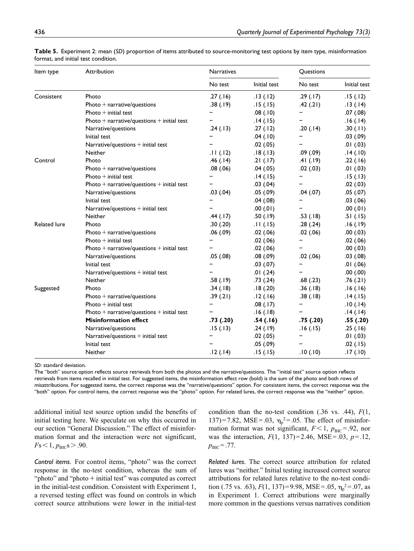| Item type           | Attribution                                | <b>Narratives</b> |               | Questions     |               |
|---------------------|--------------------------------------------|-------------------|---------------|---------------|---------------|
|                     |                                            | No test           | Initial test  | No test       | Initial test  |
| Consistent          | Photo                                      | .27(.16)          | .13(.12)      | .29(.17)      | .15(.12)      |
|                     | Photo $+$ narrative/questions              | .38(.19)          | .15(.15)      | .42(.21)      | .13(.14)      |
|                     | Photo $+$ initial test                     |                   | .08(.10)      |               | .07(.08)      |
|                     | Photo + narrative/questions + initial test |                   | .14(.15)      |               | .16(.14)      |
|                     | Narrative/questions                        | .24(.13)          | .27(.12)      | .20(.14)      | .30(.11)      |
|                     | Initial test                               |                   | .04(.10)      |               | .03(0.09)     |
|                     | Narrative/questions $+$ initial test       |                   | .02(.05)      |               | .01(0.03)     |
|                     | Neither                                    | .11(.12)          | .18(.13)      | .09(.09)      | .14(.10)      |
| Control             | Photo                                      | .46(.14)          | .21(.17)      | .41(.19)      | .22(.16)      |
|                     | Photo $+$ narrative/questions              | .08(.06)          | .04(.05)      | .02(.03)      | .01(0.03)     |
|                     | Photo $+$ initial test                     |                   | .14(.15)      |               | .15(.13)      |
|                     | Photo + narrative/questions + initial test |                   | $.03$ $(.04)$ |               | .02(.03)      |
|                     | Narrative/questions                        | .03(0.04)         | .05(.09)      | .04(.07)      | .05(.07)      |
|                     | Initial test                               |                   | .04(.08)      |               | .03(0.06)     |
|                     | Narrative/questions + initial test         |                   | .00(.01)      |               | .00(01)       |
|                     | <b>Neither</b>                             | .44(.17)          | .50(.19)      | .53(.18)      | .51(.15)      |
| <b>Related lure</b> | Photo                                      | .30(.20)          | .11(.15)      | .28(.24)      | .16(.19)      |
|                     | Photo $+$ narrative/questions              | .06(.09)          | .02(.06)      | .02(.06)      | .00(0.03)     |
|                     | Photo $+$ initial test                     |                   | .02(0.06)     |               | .02(.06)      |
|                     | Photo + narrative/questions + initial test |                   | .02(0.06)     |               | .00(0.03)     |
|                     | Narrative/questions                        | .05(.08)          | .08(.09)      | $.02$ $(.06)$ | .03(.08)      |
|                     | Initial test                               |                   | .03(0.07)     |               | $.01$ $(.06)$ |
|                     | Narrative/questions $+$ initial test       |                   | .01(.24)      |               | .00(.00)      |
|                     | Neither                                    | .58(.19)          | .73(.24)      | .68(.23)      | .76(.21)      |
| Suggested           | Photo                                      | .34(.18)          | .18(.20)      | .36(.18)      | .16(.16)      |
|                     | Photo $+$ narrative/questions              | .39(.21)          | .12(.16)      | .38(.18)      | .14(.15)      |
|                     | Photo $+$ initial test                     |                   | .08(.17)      |               | .10(.14)      |
|                     | Photo + narrative/questions + initial test |                   | .16(.18)      |               | .14(.14)      |
|                     | <b>Misinformation effect</b>               | .73(.20)          | .54(.16)      | .75(.20)      | .55(.20)      |
|                     | Narrative/questions                        | .15(.13)          | .24(.19)      | .16(.15)      | .25(.16)      |
|                     | Narrative/questions + initial test         |                   | .02(.05)      |               | .01(0.03)     |
|                     | Initial test                               |                   | .05(.09)      |               | .02(.15)      |
|                     | Neither                                    | .12(.14)          | .15(.15)      | .10(.10)      | .17(.10)      |

**Table 5.** Experiment 2: mean (*SD*) proportion of items attributed to source-monitoring test options by item type, misinformation format, and initial test condition.

*SD*: standard deviation.

The "both" source option reflects source retrievals from both the photos and the narrative/questions. The "initial test" source option reflects retrievals from items recalled in initial test. For suggested items, the misinformation effect row (bold) is the sum of the photo and both rows of misattributions. For suggested items, the correct response was the "narrative/questions" option. For consistent items, the correct response was the "both" option. For control items, the correct response was the "photo" option. For related lures, the correct response was the "neither" option.

additional initial test source option undid the benefits of initial testing here. We speculate on why this occurred in our section "General Discussion." The effect of misinformation format and the interaction were not significant,  $F_s < 1, p_{BIC} s > .90.$ 

*Control items.* For control items, "photo" was the correct response in the no-test condition, whereas the sum of "photo" and "photo + initial test" was computed as correct in the initial-test condition. Consistent with Experiment 1, a reversed testing effect was found on controls in which correct source attributions were lower in the initial-test

condition than the no-test condition (.36 vs. .44), *F*(1, 137)=7.82, MSE=.03,  $η<sub>p</sub><sup>2</sup> = .05$ . The effect of misinformation format was not significant,  $F < 1$ ,  $p_{BIC} = .92$ , nor was the interaction, *F*(1, 137)=2.46, MSE=.03, *p*=.12,  $p_{\text{BIC}} = .77$ .

*Related lures.* The correct source attribution for related lures was "neither." Initial testing increased correct source attributions for related lures relative to the no-test condition (.75 vs. .63),  $F(1, 137) = 9.98$ , MSE = .05,  $\eta_p^2 = .07$ , as in Experiment 1. Correct attributions were marginally more common in the questions versus narratives condition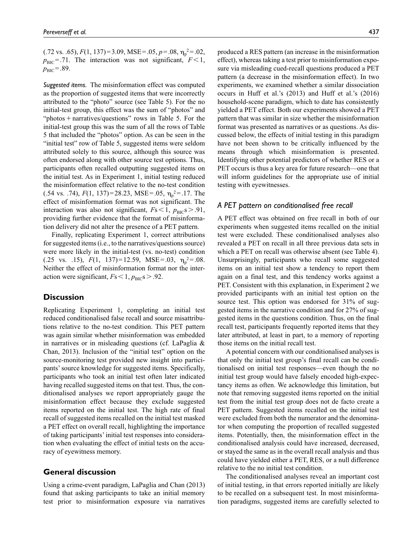$(.72 \text{ vs. } .65), F(1, 137) = 3.09, \text{MSE} = .05, p = .08, \eta_p^2 = .02,$  $p_{\text{BIC}}$  = .71. The interaction was not significant,  $F$  < 1,  $p_{\text{BIC}} = .89.$ 

*Suggested items.* The misinformation effect was computed as the proportion of suggested items that were incorrectly attributed to the "photo" source (see Table 5). For the no initial-test group, this effect was the sum of "photos" and "photos + narratives/questions" rows in Table 5. For the initial-test group this was the sum of all the rows of Table 5 that included the "photos" option. As can be seen in the "initial test" row of Table 5, suggested items were seldom attributed solely to this source, although this source was often endorsed along with other source test options. Thus, participants often recalled outputting suggested items on the initial test. As in Experiment 1, initial testing reduced the misinformation effect relative to the no-test condition  $(.54 \text{ vs. } .74)$ ,  $F(1, 137) = 28.23$ , MSE = .05,  $\eta_p^2 = .17$ . The effect of misinformation format was not significant. The interaction was also not significant,  $F_s < 1$ ,  $p_{BIC} s > .91$ , providing further evidence that the format of misinformation delivery did not alter the presence of a PET pattern.

Finally, replicating Experiment 1, correct attributions for suggested items (i.e., to the narratives/questions source) were more likely in the initial-test (vs. no-test) condition  $(.25 \text{ vs. } .15)$ ,  $F(1, 137) = 12.59$ ,  $MSE = .03$ ,  $\eta_p^2 = .08$ . Neither the effect of misinformation format nor the interaction were significant,  $F_s < 1$ ,  $p_{\text{BIC}}s > .92$ .

# **Discussion**

Replicating Experiment 1, completing an initial test reduced conditionalised false recall and source misattributions relative to the no-test condition. This PET pattern was again similar whether misinformation was embedded in narratives or in misleading questions (cf. LaPaglia & Chan, 2013). Inclusion of the "initial test" option on the source-monitoring test provided new insight into participants' source knowledge for suggested items. Specifically, participants who took an initial test often later indicated having recalled suggested items on that test. Thus, the conditionalised analyses we report appropriately gauge the misinformation effect because they exclude suggested items reported on the initial test. The high rate of final recall of suggested items recalled on the initial test masked a PET effect on overall recall, highlighting the importance of taking participants' initial test responses into consideration when evaluating the effect of initial tests on the accuracy of eyewitness memory.

# **General discussion**

Using a crime-event paradigm, LaPaglia and Chan (2013) found that asking participants to take an initial memory test prior to misinformation exposure via narratives

produced a RES pattern (an increase in the misinformation effect), whereas taking a test prior to misinformation exposure via misleading cued-recall questions produced a PET pattern (a decrease in the misinformation effect). In two experiments, we examined whether a similar dissociation occurs in Huff et al.'s (2013) and Huff et al.'s (2016) household-scene paradigm, which to date has consistently yielded a PET effect. Both our experiments showed a PET pattern that was similar in size whether the misinformation format was presented as narratives or as questions. As discussed below, the effects of initial testing in this paradigm have not been shown to be critically influenced by the means through which misinformation is presented. Identifying other potential predictors of whether RES or a PET occurs is thus a key area for future research—one that will inform guidelines for the appropriate use of initial testing with eyewitnesses.

# *A PET pattern on conditionalised free recall*

A PET effect was obtained on free recall in both of our experiments when suggested items recalled on the initial test were excluded. These conditionalised analyses also revealed a PET on recall in all three previous data sets in which a PET on recall was otherwise absent (see Table 4). Unsurprisingly, participants who recall some suggested items on an initial test show a tendency to report them again on a final test, and this tendency works against a PET. Consistent with this explanation, in Experiment 2 we provided participants with an initial test option on the source test. This option was endorsed for 31% of suggested items in the narrative condition and for 27% of suggested items in the questions condition. Thus, on the final recall test, participants frequently reported items that they later attributed, at least in part, to a memory of reporting those items on the initial recall test.

A potential concern with our conditionalised analyses is that only the initial test group's final recall can be conditionalised on initial test responses—even though the no initial test group would have falsely encoded high-expectancy items as often. We acknowledge this limitation, but note that removing suggested items reported on the initial test from the initial test group does not de facto create a PET pattern. Suggested items recalled on the initial test were excluded from both the numerator and the denominator when computing the proportion of recalled suggested items. Potentially, then, the misinformation effect in the conditionalised analysis could have increased, decreased, or stayed the same as in the overall recall analysis and thus could have yielded either a PET, RES, or a null difference relative to the no initial test condition.

The conditionalised analyses reveal an important cost of initial testing, in that errors reported initially are likely to be recalled on a subsequent test. In most misinformation paradigms, suggested items are carefully selected to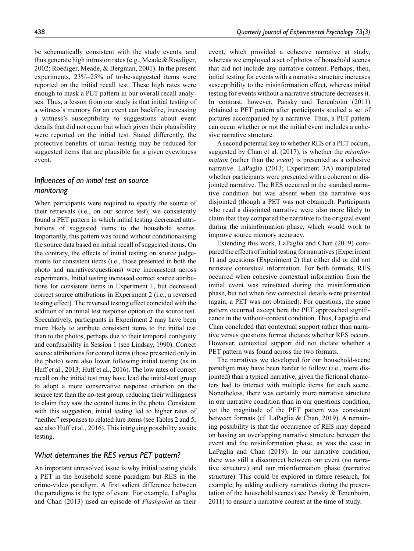be schematically consistent with the study events, and thus generate high intrusion rates (e.g., Meade & Roediger, 2002; Roediger, Meade, & Bergman, 2001). In the present experiments, 23%–25% of to-be-suggested items were reported on the initial recall test. These high rates were enough to mask a PET pattern in our overall recall analyses. Thus, a lesson from our study is that initial testing of a witness's memory for an event can backfire, increasing a witness's susceptibility to suggestions about event details that did not occur but which given their plausibility were reported on the initial test. Stated differently, the protective benefits of initial testing may be reduced for suggested items that are plausible for a given eyewitness event.

# *Influences of an initial test on source monitoring*

When participants were required to specify the source of their retrievals (i.e., on our source test), we consistently found a PET pattern in which initial testing decreased attributions of suggested items to the household scenes. Importantly, this pattern was found without conditionalising the source data based on initial recall of suggested items. On the contrary, the effects of initial testing on source judgements for consistent items (i.e., those presented in both the photo and narratives/questions) were inconsistent across experiments. Initial testing increased correct source attributions for consistent items in Experiment 1, but decreased correct source attributions in Experiment 2 (i.e., a reversed testing effect). The reversed testing effect coincided with the addition of an initial test response option on the source test. Speculatively, participants in Experiment 2 may have been more likely to attribute consistent items to the initial test than to the photos, perhaps due to their temporal contiguity and confusability in Session 1 (see Lindsay, 1990). Correct source attributions for control items (those presented only in the photo) were also lower following initial testing (as in Huff et al., 2013; Huff et al., 2016). The low rates of correct recall on the initial test may have lead the initial-test group to adopt a more conservative response criterion on the source test than the no-test group, reducing their willingness to claim they saw the control items in the photo. Consistent with this suggestion, initial testing led to higher rates of "neither" responses to related lure items (see Tables 2 and 5; see also Huff et al., 2016). This intriguing possibility awaits testing.

# *What determines the RES versus PET pattern?*

An important unresolved issue is why initial testing yields a PET in the household scene paradigm but RES in the crime-video paradigm. A first salient difference between the paradigms is the type of event. For example, LaPaglia and Chan (2013) used an episode of *Flashpoint* as their event, which provided a cohesive narrative at study, whereas we employed a set of photos of household scenes that did not include any narrative content. Perhaps, then, initial testing for events with a narrative structure increases susceptibility to the misinformation effect, whereas initial testing for events without a narrative structure decreases it. In contrast, however, Pansky and Tenenboim (2011) obtained a PET pattern after participants studied a set of pictures accompanied by a narrative. Thus, a PET pattern can occur whether or not the initial event includes a cohesive narrative structure.

A second potential key to whether RES or a PET occurs, suggested by Chan et al. (2017), is whether the *misinformation* (rather than the *event*) is presented as a cohesive narrative. LaPaglia (2013; Experiment 3A) manipulated whether participants were presented with a coherent or disjointed narrative. The RES occurred in the standard narrative condition but was absent when the narrative was disjointed (though a PET was not obtained). Participants who read a disjointed narrative were also more likely to claim that they compared the narrative to the original event during the misinformation phase, which would work to improve source memory accuracy.

Extending this work, LaPaglia and Chan (2019) compared the effects of initial testing for narratives (Experiment 1) and questions (Experiment 2) that either did or did not reinstate contextual information. For both formats, RES occurred when cohesive contextual information from the initial event was reinstated during the misinformation phase, but not when few contextual details were presented (again, a PET was not obtained). For questions, the same pattern occurred except here the PET approached significance in the without-context condition. Thus, Lapaglia and Chan concluded that contextual support rather than narrative versus questions format dictates whether RES occurs. However, contextual support did not dictate whether a PET pattern was found across the two formats.

The narratives we developed for our household-scene paradigm may have been harder to follow (i.e., more disjointed) than a typical narrative, given the fictional characters had to interact with multiple items for each scene. Nonetheless, there was certainly more narrative structure in our narrative condition than in our questions condition, yet the magnitude of the PET pattern was consistent between formats (cf. LaPaglia & Chan, 2019). A remaining possibility is that the occurrence of RES may depend on having an overlapping narrative structure between the event and the misinformation phase, as was the case in LaPaglia and Chan (2019). In our narrative condition, there was still a disconnect between our event (no narrative structure) and our misinformation phase (narrative structure). This could be explored in future research, for example, by adding auditory narratives during the presentation of the household scenes (see Pansky & Tenenboim, 2011) to ensure a narrative context at the time of study.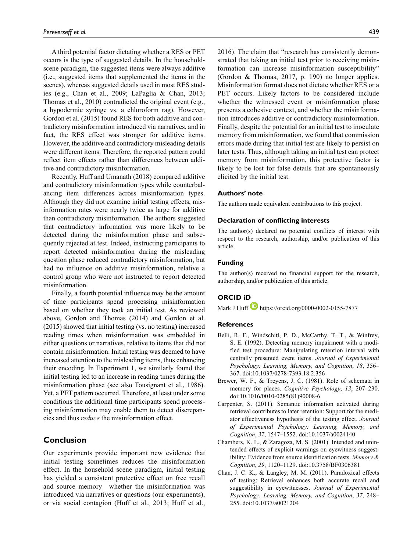A third potential factor dictating whether a RES or PET occurs is the type of suggested details. In the householdscene paradigm, the suggested items were always additive (i.e., suggested items that supplemented the items in the scenes), whereas suggested details used in most RES studies (e.g., Chan et al., 2009; LaPaglia & Chan, 2013; Thomas et al., 2010) contradicted the original event (e.g., a hypodermic syringe vs. a chloroform rag). However, Gordon et al. (2015) found RES for both additive and contradictory misinformation introduced via narratives, and in fact, the RES effect was stronger for additive items. However, the additive and contradictory misleading details were different items. Therefore, the reported pattern could reflect item effects rather than differences between additive and contradictory misinformation.

Recently, Huff and Umanath (2018) compared additive and contradictory misinformation types while counterbalancing item differences across misinformation types. Although they did not examine initial testing effects, misinformation rates were nearly twice as large for additive than contradictory misinformation. The authors suggested that contradictory information was more likely to be detected during the misinformation phase and subsequently rejected at test. Indeed, instructing participants to report detected misinformation during the misleading question phase reduced contradictory misinformation, but had no influence on additive misinformation, relative a control group who were not instructed to report detected misinformation.

Finally, a fourth potential influence may be the amount of time participants spend processing misinformation based on whether they took an initial test. As reviewed above, Gordon and Thomas (2014) and Gordon et al. (2015) showed that initial testing (vs. no testing) increased reading times when misinformation was embedded in either questions or narratives, relative to items that did not contain misinformation. Initial testing was deemed to have increased attention to the misleading items, thus enhancing their encoding. In Experiment 1, we similarly found that initial testing led to an increase in reading times during the misinformation phase (see also Tousignant et al., 1986). Yet, a PET pattern occurred. Therefore, at least under some conditions the additional time participants spend processing misinformation may enable them to detect discrepancies and thus *reduce* the misinformation effect.

# **Conclusion**

Our experiments provide important new evidence that initial testing sometimes reduces the misinformation effect. In the household scene paradigm, initial testing has yielded a consistent protective effect on free recall and source memory—whether the misinformation was introduced via narratives or questions (our experiments), or via social contagion (Huff et al., 2013; Huff et al.,

2016). The claim that "research has consistently demonstrated that taking an initial test prior to receiving misinformation can increase misinformation susceptibility" (Gordon & Thomas, 2017, p. 190) no longer applies. Misinformation format does not dictate whether RES or a PET occurs. Likely factors to be considered include whether the witnessed event or misinformation phase presents a cohesive context, and whether the misinformation introduces additive or contradictory misinformation. Finally, despite the potential for an initial test to inoculate memory from misinformation, we found that commission errors made during that initial test are likely to persist on later tests. Thus, although taking an initial test can protect memory from misinformation, this protective factor is likely to be lost for false details that are spontaneously elicited by the initial test.

#### **Authors' note**

The authors made equivalent contributions to this project.

#### **Declaration of conflicting interests**

The author(s) declared no potential conflicts of interest with respect to the research, authorship, and/or publication of this article.

# **Funding**

The author(s) received no financial support for the research, authorship, and/or publication of this article.

# **ORCID iD**

Mark J Huff **D** <https://orcid.org/0000-0002-0155-7877>

#### **References**

- Belli, R. F., Windschitl, P. D., McCarthy, T. T., & Winfrey, S. E. (1992). Detecting memory impairment with a modified test procedure: Manipulating retention interval with centrally presented event items. *Journal of Experimental Psychology: Learning, Memory, and Cognition*, *18*, 356– 367. doi:10.1037/0278-7393.18.2.356
- Brewer, W. F., & Treyens, J. C. (1981). Role of schemata in memory for places. *Cognitive Psychology*, *13*, 207–230. doi:10.1016/0010-0285(81)90008-6
- Carpenter, S. (2011). Semantic information activated during retrieval contributes to later retention: Support for the mediator effectiveness hypothesis of the testing effect. *Journal of Experimental Psychology: Learning, Memory, and Cognition*, *37*, 1547–1552. doi:10.1037/a0024140
- Chambers, K. L., & Zaragoza, M. S. (2001). Intended and unintended effects of explicit warnings on eyewitness suggestibility: Evidence from source identification tests. *Memory & Cognition*, *29*, 1120–1129. doi:10.3758/BF0306381
- Chan, J. C. K., & Langley, M. M. (2011). Paradoxical effects of testing: Retrieval enhances both accurate recall and suggestibility in eyewitnesses. *Journal of Experimental Psychology: Learning, Memory, and Cognition*, *37*, 248– 255. doi:10.1037/a0021204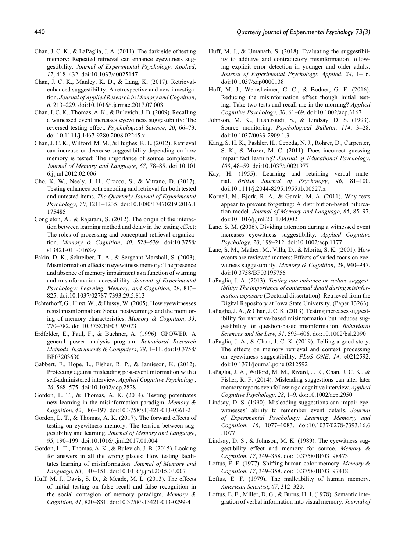- Chan, J. C. K., & LaPaglia, J. A. (2011). The dark side of testing memory: Repeated retrieval can enhance eyewitness suggestibility. *Journal of Experimental Psychology: Applied*, *17*, 418–432. doi:10.1037/a0025147
- Chan, J. C. K., Manley, K. D., & Lang, K. (2017). Retrievalenhanced suggestibility: A retrospective and new investigation. *Journal of Applied Research in Memory and Cognition*, *6*, 213–229. doi:10.1016/j.jarmac.2017.07.003
- Chan, J. C. K., Thomas, A. K., & Bulevich, J. B. (2009). Recalling a witnessed event increases eyewitness suggestibility: The reversed testing effect. *Psychological Science*, *20*, 66–73. doi:10.1111/j.1467-9280.2008.02245.x
- Chan, J. C. K., Wilford, M. M., & Hughes, K. L. (2012). Retrieval can increase or decrease suggestibility depending on how memory is tested: The importance of source complexity. *Journal of Memory and Language*, *67*, 78–85. doi:10.101 6.j.jml.2012.02.006
- Cho, K. W., Neely, J. H., Crocco, S., & Vitrano, D. (2017). Testing enhances both encoding and retrieval for both tested and untested items. *The Quarterly Journal of Experimental Psychology*, *70*, 1211–1235. doi:10.1080/17470219.2016.1 175485
- Congleton, A., & Rajaram, S. (2012). The origin of the interaction between learning method and delay in the testing effect: The roles of processing and conceptual retrieval organization. *Memory & Cognition*, *40*, 528–539. doi:10.3758/ s13421-011-0168-y
- Eakin, D. K., Schreiber, T. A., & Sergeant-Marshall, S. (2003). Misinformation effects in eyewitness memory: The presence and absence of memory impairment as a function of warning and misinformation accessibility. *Journal of Experimental Psychology: Learning, Memory, and Cognition*, *29*, 813– 825. doi:10.1037/02787-7393.29.5.813
- Echterhoff, G., Hirst, W., & Hussy, W. (2005). How eyewitnesses resist misinformation: Social postwarnings and the monitoring of memory characteristics. *Memory & Cognition*, *33*, 770–782. doi:10.3758/BF03193073
- Erdfelder, E., Faul, F., & Buchner, A. (1996). GPOWER: A general power analysis program. *Behavioral Research Methods, Instruments & Computers*, *28*, 1–11. doi:10.3758/ BF03203630
- Gabbert, F., Hope, L., Fisher, R. P., & Jamieson, K. (2012). Protecting against misleading post-event information with a self-administered interview. *Applied Cognitive Psychology*, *26*, 568–575. doi:10.1002/acp.2828
- Gordon, L. T., & Thomas, A. K. (2014). Testing potentiates new learning in the misinformation paradigm. *Memory & Cognition*, *42*, 186–197. doi:10.3758/s13421-013-0361-2
- Gordon, L. T., & Thomas, A. K. (2017). The forward effects of testing on eyewitness memory: The tension between suggestibility and learning. *Journal of Memory and Language*, *95*, 190–199. doi:10.1016/j.jml.2017.01.004
- Gordon, L. T., Thomas, A. K., & Bulevich, J. B. (2015). Looking for answers in all the wrong places: How testing facilitates learning of misinformation. *Journal of Memory and Language*, *83*, 140–151. doi:10.1016/j.jml.2015.03.007
- Huff, M. J., Davis, S. D., & Meade, M. L. (2013). The effects of initial testing on false recall and false recognition in the social contagion of memory paradigm. *Memory & Cognition*, *41*, 820–831. doi:10.3758/s13421-013-0299-4
- Huff, M. J., & Umanath, S. (2018). Evaluating the suggestibility to additive and contradictory misinformation following explicit error detection in younger and older adults. *Journal of Experimental Psychology: Applied*, *24*, 1–16. doi:10.1037/xap0000138
- Huff, M. J., Weinsheimer, C. C., & Bodner, G. E. (2016). Reducing the misinformation effect though initial testing: Take two tests and recall me in the morning? *Applied Cognitive Psychology*, *30*, 61–69. doi:10.1002/acp.3167
- Johnson, M. K., Hashtroudi, S., & Lindsay, D. S. (1993). Source monitoring. *Psychological Bulletin*, *114*, 3–28. doi:10.1037/0033-2909.1.3
- Kang, S. H. K., Pashler, H., Cepeda, N. J., Rohrer, D., Carpenter, S. K., & Mozer, M. C. (2011). Does incorrect guessing impair fact learning? *Journal of Educational Psychology*, *103*, 48–59. doi:10.1037/a0021977
- Kay, H. (1955). Learning and retaining verbal material. *British Journal of Psychology*, *46*, 81–100. doi:10.1111/j.2044-8295.1955.tb.00527.x
- Kornell, N., Bjork, R. A., & Garcia, M. A. (2011). Why tests appear to prevent forgetting: A distribution-based bifurcation model. *Journal of Memory and Language*, *65*, 85–97. doi:10.1016/j.jml.2011.04.002
- Lane, S. M. (2006). Dividing attention during a witnessed event increases eyewitness suggestibility. *Applied Cognitive Psychology*, *20*, 199–212. doi:10.1002/acp.1177
- Lane, S. M., Mather, M., Villa, D., & Morita, S. K. (2001). How events are reviewed matters: Effects of varied focus on eyewitness suggestibility. *Memory & Cognition*, *29*, 940–947. doi:10.3758/BF03195756
- LaPaglia, J. A. (2013). *Testing can enhance or reduce suggestibility: The importance of contextual detail during misinformation exposure* (Doctoral dissertation). Retrieved from the Digital Repository at Iowa State University. (Paper 13263)
- LaPaglia, J. A., & Chan, J. C. K. (2013). Testing increases suggestibility for narrative-based misinformation but reduces suggestibility for question-based misinformation. *Behavioral Sciences and the Law*, *31*, 593–606. doi:10.1002/bsl.2090
- LaPaglia, J. A., & Chan, J. C. K. (2019). Telling a good story: The effects on memory retrieval and context processing on eyewitness suggestibility. *PLoS ONE*, *14*, e0212592. doi:10.1371/journal.pone.0212592
- LaPaglia, J. A., Wilford, M. M., Rivard, J. R., Chan, J. C. K., & Fisher, R. F. (2014). Misleading suggestions can alter later memory reports even following a cognitive interview. *Applied Cognitive Psychology*, *28*, 1–9. doi:10.1002/acp.2950
- Lindsay, D. S. (1990). Misleading suggestions can impair eyewitnesses' ability to remember event details. *Journal of Experimental Psychology: Learning, Memory, and Cognition*, *16*, 1077–1083. doi:10.1037/0278-7393.16.6 .1077
- Lindsay, D. S., & Johnson, M. K. (1989). The eyewitness suggestibility effect and memory for source. *Memory & Cognition*, *17*, 349–358. doi:10.3758/BF03198473
- Loftus, E. F. (1977). Shifting human color memory. *Memory & Cognition*, *17*, 349–358. doi:10.3758/BF03197418
- Loftus, E. F. (1979). The malleability of human memory. *American Scientist*, *67*, 312–320.
- Loftus, E. F., Miller, D. G., & Burns, H. J. (1978). Semantic integration of verbal information into visual memory. *Journal of*